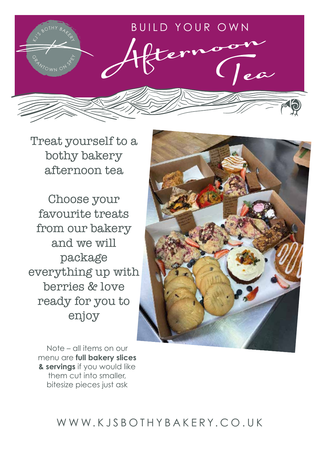

Treat yourself to a bothy bakery afternoon tea

Choose your favourite treats from our bakery and we will package everything up with berries & love ready for you to enjoy



Note – all items on our menu are **full bakery slices & servings** if you would like them cut into smaller, bitesize pieces just ask

# WWW.KJSBOTHYBAKERY.CO.UK